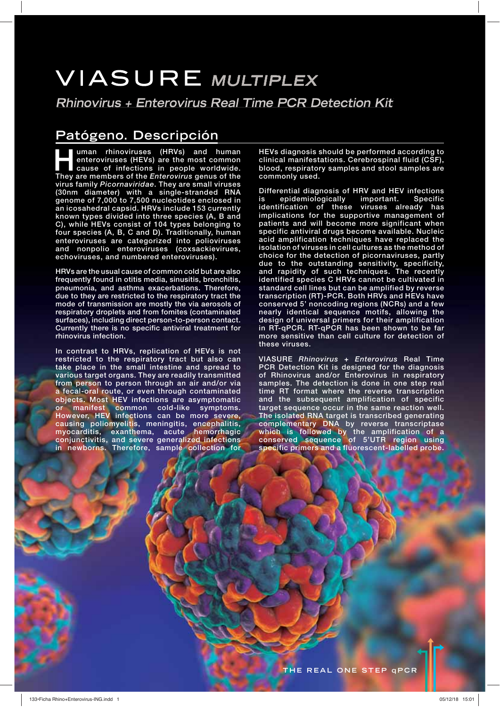# **VIASURE MULTIPLEX**

**Rhinovirus + Enterovirus Real Time PCR Detection Kit** 

## **Patógeno. Descripción**

**HRVs**) and human enteroviruses (HEVs) are the most common cause of infections in people worldwide.<br>They are members of the *Enterovirus* genus of the **enteroviruses (HEVs) are the most common cause of infections in people worldwide. They are members of the** *Enterovirus* **genus of the virus family** *Picornaviridae***. They are small viruses (30nm diameter) with a single-stranded RNA genome of 7,000 to 7,500 nucleotides enclosed in an icosahedral capsid. HRVs include 153 currently known types divided into three species (A, B and C), while HEVs consist of 104 types belonging to four species (A, B, C and D). Traditionally, human enteroviruses are categorized into polioviruses and nonpolio enteroviruses (coxsackievirues, echoviruses, and numbered enteroviruses).** 

**HRVs are the usual cause of common cold but are also frequently found in otitis media, sinusitis, bronchitis, pneumonia, and asthma exacerbations. Therefore, due to they are restricted to the respiratory tract the mode of transmission are mostly the via aerosols of respiratory droplets and from fomites (contaminated surfaces), including direct person-to-person contact. Currently there is no specific antiviral treatment for rhinovirus infection.** 

**In contrast to HRVs, replication of HEVs is not restricted to the respiratory tract but also can take place in the small intestine and spread to various target organs. They are readily transmitted from person to person through an air and/or via a fecal-oral route, or even through contaminated objects. Most HEV infections are asymptomatic or manifest common cold-like symptoms. However, HEV infections can be more severe, causing poliomyelitis, meningitis, encephalitis, myocarditis, exanthema, acute hemorrhagic conjunctivitis, and severe generalized infections in newborns. Therefore, sample collection for** 

**HEVs diagnosis should be performed according to clinical manifestations. Cerebrospinal fluid (CSF), blood, respiratory samples and stool samples are commonly used.** 

**Differential diagnosis of HRV and HEV infections is epidemiologically important. Specific identification of these viruses already has implications for the supportive management of patients and will become more significant when specific antiviral drugs become available. Nucleic acid amplification techniques have replaced the isolation of viruses in cell cultures as the method of choice for the detection of picornaviruses, partly due to the outstanding sensitivity, specificity, and rapidity of such techniques. The recently identified species C HRVs cannot be cultivated in standard cell lines but can be amplified by reverse transcription (RT)-PCR. Both HRVs and HEVs have conserved 5' noncoding regions (NCRs) and a few nearly identical sequence motifs, allowing the design of universal primers for their amplification in RT-qPCR. RT-qPCR has been shown to be far more sensitive than cell culture for detection of these viruses.**

**VIASURE** *Rhinovirus + Enterovirus* **Real Time PCR Detection Kit is designed for the diagnosis of Rhinovirus and/or Enterovirus in respiratory samples. The detection is done in one step real time RT format where the reverse transcription and the subsequent amplification of specific target sequence occur in the same reaction well. The isolated RNA target is transcribed generating complementary DNA by reverse transcriptase which is followed by the amplification of a conserved sequence of 5'UTR region using specific primers and a fluorescent-labelled probe.**